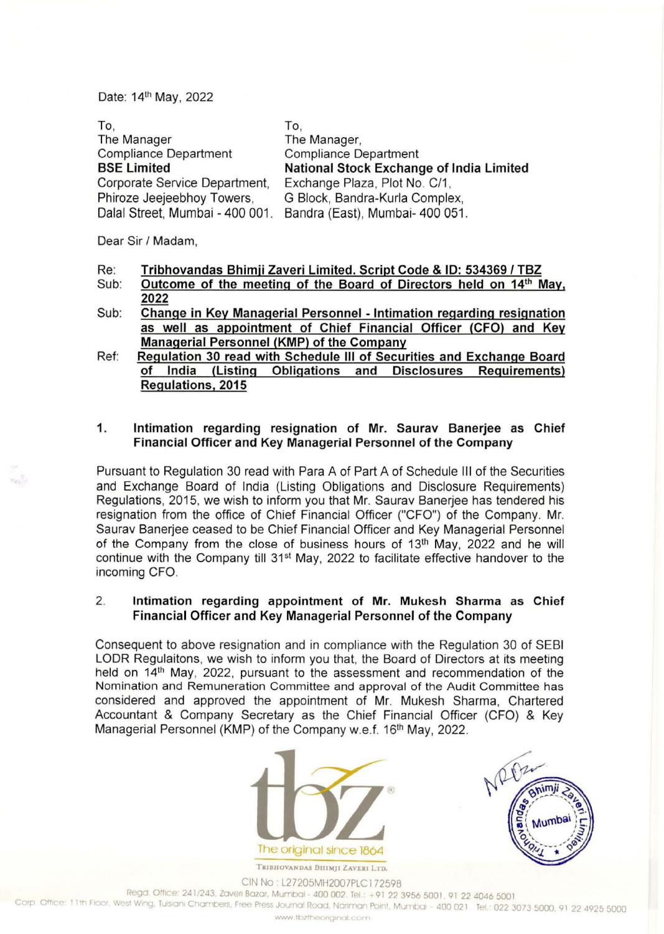Date: 14th May, 2022

| To,                             | 10.                                      |
|---------------------------------|------------------------------------------|
| The Manager                     | The Manager,                             |
| <b>Compliance Department</b>    | <b>Compliance Department</b>             |
| <b>BSE Limited</b>              | National Stock Exchange of India Limited |
| Corporate Service Department,   | Exchange Plaza, Plot No. C/1,            |
| Phiroze Jeejeebhoy Towers,      | G Block, Bandra-Kurla Complex,           |
| Dalal Street, Mumbai - 400 001. | Bandra (East), Mumbai- 400 051.          |

Dear Sir / Madam,

- Re: **Tribhovandas Bhimji Zaveri Limited. Script Code & ID: 534369 I TBZ**
- Sub: Outcome of the meeting of the Board of Directors held on 14<sup>th</sup> May, **2022**
- Sub: **Change in Key Managerial Personnel - Intimation regarding resignation as well as appointment of Chief Financial Officer (CFO) and Key Managerial Personnel (KMP) of the Company**
- Ref: **Regulation 30 read with Schedule Ill of Securities and Exchange Board of India (Listing Obligations and Disclosures Requirements) Regulations, 2015**

## **1. Intimation regarding resignation of Mr. Saurav Banerjee as Chief Financial Officer and Key Managerial Personnel of the Company**

Pursuant to Regulation 30 read with Para A of Part A of Schedule Ill of the Securities and Exchange Board of India (Listing Obligations and Disclosure Requirements) Regulations, 2015, we wish to inform you that Mr. Saurav Banerjee has tendered his resignation from the office of Chief Financial Officer ("CFO") of the Company. Mr. Saurav Banerjee ceased to be Chief Financial Officer and Key Managerial Personnel of the Company from the close of business hours of 13<sup>th</sup> May, 2022 and he will continue with the Company till 31<sup>st</sup> May, 2022 to facilitate effective handover to the incoming CFO.

## 2 . **Intimation regarding appointment of Mr. Mukesh Sharma as Chief Financial Officer and Key Managerial Personnel of the Company**

Consequent to above resignation and in compliance with the Regulation 30 of SEBI LODR Regulaitons, we wish to inform you that, the Board of Directors at its meeting held on 14th May, 2022, pursuant to the assessment and recommendation of the Nomination and Remuneration Committee and approval of the Audit Committee has considered and approved the appointment of Mr. Mukesh Sharma, Chartered Accountant & Company Secretary as the Chief Financial Officer (CFO) & Key Managerial Personnel (KMP) of the Company w.e.f. 16<sup>th</sup> May, 2022.





TRIBHOVANDAS BHIMJI ZAVERI LTD. CIN No· L27205MH2007PLC172598

Regd. Office: 241/243, Zaveri Bazar, Mumbai - 400 002. Tel.: +91 22 3956 5001, 91 22 4046 5001

Corp Office: 11th Floor, West Wing, Tulsiani Chambers, Free Press Journal Road, Nariman Point, Mumbai - 400 021 Tel.: 022 3073 5000, 91 22 4925 5000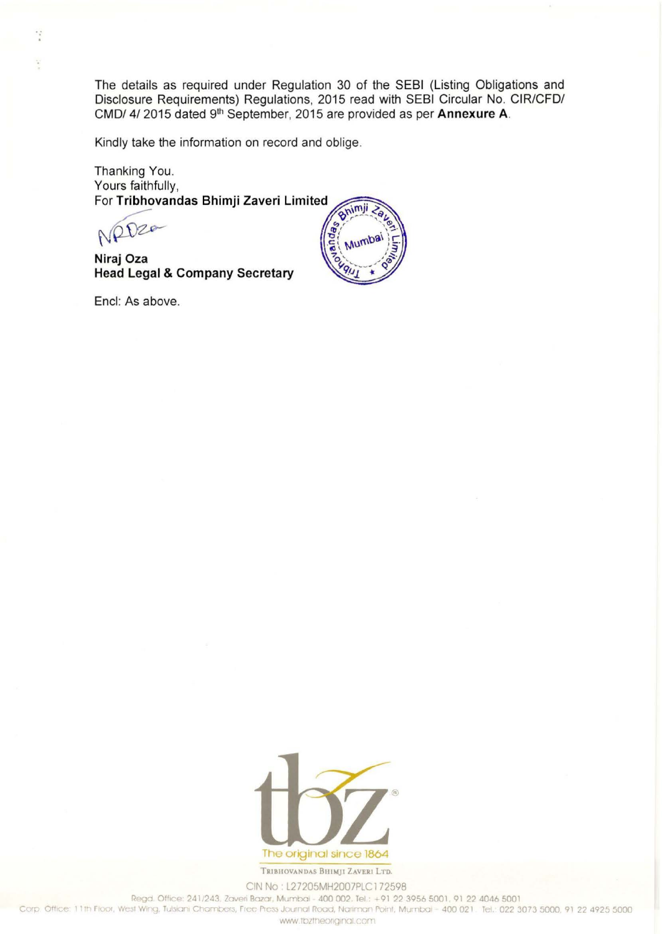The details as required under Regulation 30 of the SEBI (Listing Obligations and Disclosure Requirements) Regulations, 2015 read with SEBI Circular No. CIR/CFD/ CMD/ 4/ 2015 dated 9th September, 2015 are provided as per Annexure A.

Kindly take the information on record and oblige.

Thanking You. Yours faithfully, For Tribhovandas Bhimji Zaveri Limited

NRD20

Niraj Oza **Head Legal & Company Secretary** 

Encl: As above.





TRIBHOVANDAS BHIMJI ZAVERI LTD. CIN No: L27205MH2007PLC172598

Regd. Office: 241/243, Zaveri Bazar, Mumbai - 400 002, Tel.: +91 22 3956 5001, 91 22 4046 5001

Corp. Office: 11th Floor, West Wing, Tulsiani Chambers, Free Press Journal Road, Nariman Point, Mumbai - 400 021. Tel.: 022 3073 5000, 91 22 4925 5000

www.tbztheoriginal.com